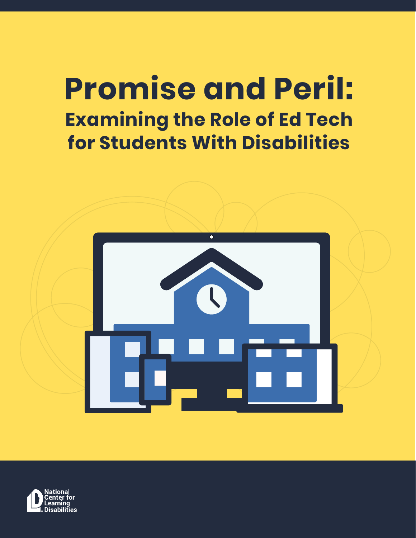# **Promise and Peril: Examining the Role of Ed Tech for Students With Disabilities**



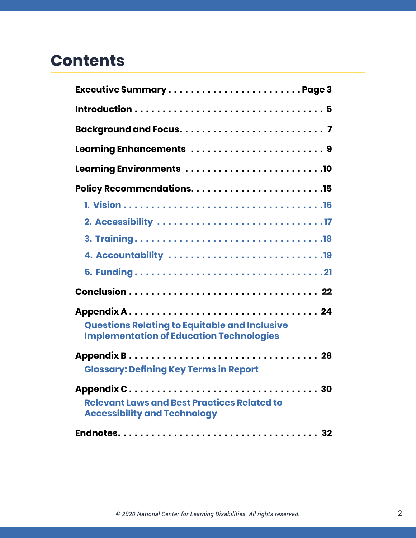# **Contents**

| Executive SummaryPage 3                                                                                 |
|---------------------------------------------------------------------------------------------------------|
|                                                                                                         |
|                                                                                                         |
| Learning Enhancements  9                                                                                |
| Learning Environments 10                                                                                |
|                                                                                                         |
|                                                                                                         |
|                                                                                                         |
|                                                                                                         |
|                                                                                                         |
|                                                                                                         |
|                                                                                                         |
| <b>Questions Relating to Equitable and Inclusive</b><br><b>Implementation of Education Technologies</b> |
| <b>Glossary: Defining Key Terms in Report</b>                                                           |
| <b>Relevant Laws and Best Practices Related to</b><br><b>Accessibility and Technology</b>               |
|                                                                                                         |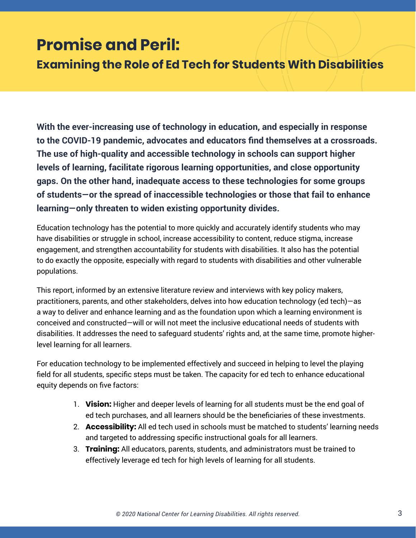# <span id="page-2-0"></span>**Promise and Peril:**

**Examining the Role of Ed Tech for Students With Disabilities**

**With the ever-increasing use of technology in education, and especially in response to the COVID-19 pandemic, advocates and educators find themselves at a crossroads. The use of high-quality and accessible technology in schools can support higher levels of learning, facilitate rigorous learning opportunities, and close opportunity gaps. On the other hand, inadequate access to these technologies for some groups of students—or the spread of inaccessible technologies or those that fail to enhance learning—only threaten to widen existing opportunity divides.**

Education technology has the potential to more quickly and accurately identify students who may have disabilities or struggle in school, increase accessibility to content, reduce stigma, increase engagement, and strengthen accountability for students with disabilities. It also has the potential to do exactly the opposite, especially with regard to students with disabilities and other vulnerable populations.

This report, informed by an extensive literature review and interviews with key policy makers, practitioners, parents, and other stakeholders, delves into how education technology (ed tech)—as a way to deliver and enhance learning and as the foundation upon which a learning environment is conceived and constructed—will or will not meet the inclusive educational needs of students with disabilities. It addresses the need to safeguard students' rights and, at the same time, promote higherlevel learning for all learners.

For education technology to be implemented effectively and succeed in helping to level the playing field for all students, specific steps must be taken. The capacity for ed tech to enhance educational equity depends on five factors:

- 1. **Vision:** Higher and deeper levels of learning for all students must be the end goal of ed tech purchases, and all learners should be the beneficiaries of these investments.
- 2. **Accessibility:** All ed tech used in schools must be matched to students' learning needs and targeted to addressing specific instructional goals for all learners.
- 3. **Training:** All educators, parents, students, and administrators must be trained to effectively leverage ed tech for high levels of learning for all students.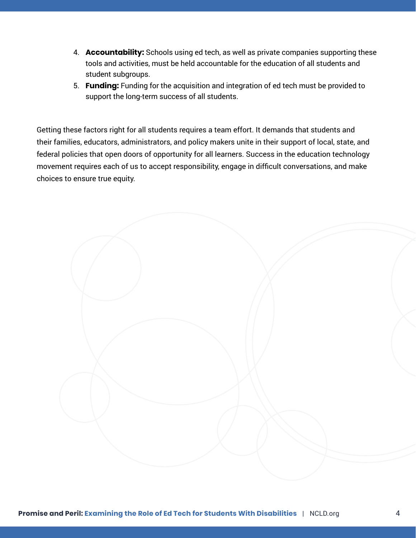- 4. **Accountability:** Schools using ed tech, as well as private companies supporting these tools and activities, must be held accountable for the education of all students and student subgroups.
- 5. **Funding:** Funding for the acquisition and integration of ed tech must be provided to support the long-term success of all students.

Getting these factors right for all students requires a team effort. It demands that students and their families, educators, administrators, and policy makers unite in their support of local, state, and federal policies that open doors of opportunity for all learners. Success in the education technology movement requires each of us to accept responsibility, engage in difficult conversations, and make choices to ensure true equity.

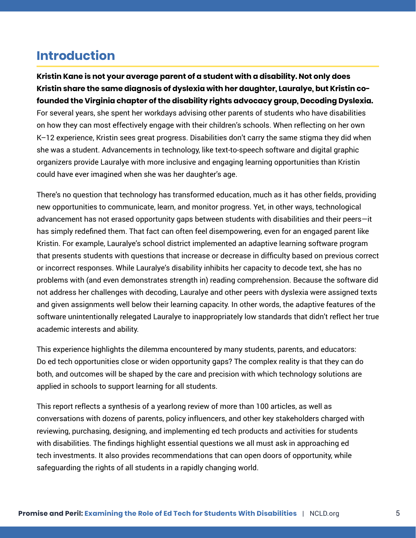# <span id="page-4-0"></span>**Introduction**

**Kristin Kane is not your average parent of a student with a disability. Not only does Kristin share the same diagnosis of dyslexia with her daughter, Lauralye, but Kristin cofounded the Virginia chapter of the disability rights advocacy group, Decoding Dyslexia.**  For several years, she spent her workdays advising other parents of students who have disabilities on how they can most effectively engage with their children's schools. When reflecting on her own K–12 experience, Kristin sees great progress. Disabilities don't carry the same stigma they did when she was a student. Advancements in technology, like text-to-speech software and digital graphic organizers provide Lauralye with more inclusive and engaging learning opportunities than Kristin could have ever imagined when she was her daughter's age.

There's no question that technology has transformed education, much as it has other fields, providing new opportunities to communicate, learn, and monitor progress. Yet, in other ways, technological advancement has not erased opportunity gaps between students with disabilities and their peers—it has simply redefined them. That fact can often feel disempowering, even for an engaged parent like Kristin. For example, Lauralye's school district implemented an adaptive learning software program that presents students with questions that increase or decrease in difficulty based on previous correct or incorrect responses. While Lauralye's disability inhibits her capacity to decode text, she has no problems with (and even demonstrates strength in) reading comprehension. Because the software did not address her challenges with decoding, Lauralye and other peers with dyslexia were assigned texts and given assignments well below their learning capacity. In other words, the adaptive features of the software unintentionally relegated Lauralye to inappropriately low standards that didn't reflect her true academic interests and ability.

This experience highlights the dilemma encountered by many students, parents, and educators: Do ed tech opportunities close or widen opportunity gaps? The complex reality is that they can do both, and outcomes will be shaped by the care and precision with which technology solutions are applied in schools to support learning for all students.

This report reflects a synthesis of a yearlong review of more than 100 articles, as well as conversations with dozens of parents, policy influencers, and other key stakeholders charged with reviewing, purchasing, designing, and implementing ed tech products and activities for students with disabilities. The findings highlight essential questions we all must ask in approaching ed tech investments. It also provides recommendations that can open doors of opportunity, while safeguarding the rights of all students in a rapidly changing world.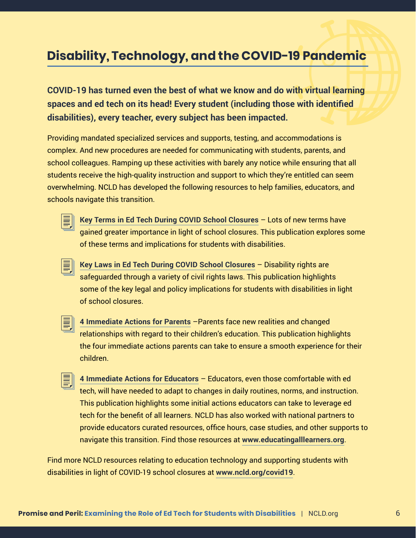# **Disability, Technology, and the COVID-19 Pandemic**

**COVID-19 has turned even the best of what we know and do with virtual learning spaces and ed tech on its head! Every student (including those with identified disabilities), every teacher, every subject has been impacted.** 

Providing mandated specialized services and supports, testing, and accommodations is complex. And new procedures are needed for communicating with students, parents, and school colleagues. Ramping up these activities with barely any notice while ensuring that all students receive the high-quality instruction and support to which they're entitled can seem overwhelming. NCLD has developed the following resources to help families, educators, and schools navigate this transition.



昌

**[Key Terms in Ed Tech During COVID School Closures](https://www.ncld.org/wp-content/uploads/2020/04/Key-Terms-Regarding-Online-Learning-and-Education-Technology-A-Resource-for-Educators-and-Parents-During-the-COVID-19-Disruption.04012020.pdf)** – Lots of new terms have gained greater importance in light of school closures. This publication explores some of these terms and implications for students with disabilities.

- **[Key Laws in Ed Tech During COVID School Closures](https://www.ncld.org/wp-content/uploads/2020/04/Relevant-Laws-and-Best-Practices-Related-to-Accessibility-and-Technology-as-Schools-Respond-to-COVID-19.04012020-1.pdf)** Disability rights are safeguarded through a variety of civil rights laws. This publication highlights some of the key legal and policy implications for students with disabilities in light of school closures.
- 

**[4 Immediate Actions for Parents](https://www.ncld.org/wp-content/uploads/2020/03/A-Parents-Guide-to-Virtual-Learning-4-Actions-To-Improve-your-Childs-Experience-with-Online-Learning.pdf)** –Parents face new realities and changed relationships with regard to their children's education. This publication highlights the four immediate actions parents can take to ensure a smooth experience for their children.

昌 **[4 Immediate Actions for Educators](https://www.ncld.org/wp-content/uploads/2020/03/An-Educators-Guide-to-Virtual-Learning-4-Actions-to-Support-Students-With-Disabilities-and-Their-Families.pdf)** – Educators, even those comfortable with ed tech, will have needed to adapt to changes in daily routines, norms, and instruction. This publication highlights some initial actions educators can take to leverage ed tech for the benefit of all learners. NCLD has also worked with national partners to provide educators curated resources, office hours, case studies, and other supports to navigate this transition. Find those resources at **[www.educatingalllearners.org](http://www.educatingalllearners.org)**.

Find more NCLD resources relating to education technology and supporting students with disabilities in light of COVID-19 school closures at **[www.ncld.org/covid19](http://www.ncld.org/covid19)**.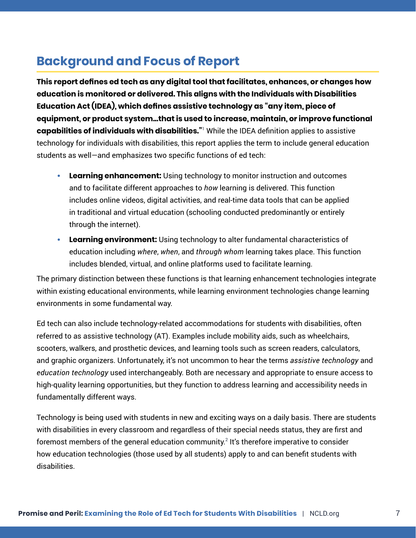# <span id="page-6-0"></span>**Background and Focus of Report**

**This report defines ed tech as any digital tool that facilitates, enhances, or changes how education is monitored or delivered. This aligns with the Individuals with Disabilities Education Act (IDEA), which defines assistive technology as "any item, piece of equipment, or product system...that is used to increase, maintain, or improve functional capabilities of individuals with disabilities."**<sup>1</sup> While the IDEA definition applies to assistive technology for individuals with disabilities, this report applies the term to include general education students as well—and emphasizes two specific functions of ed tech:

- **• Learning enhancement:** Using technology to monitor instruction and outcomes and to facilitate different approaches to *how* learning is delivered. This function includes online videos, digital activities, and real-time data tools that can be applied in traditional and virtual education (schooling conducted predominantly or entirely through the internet).
- **• Learning environment:** Using technology to alter fundamental characteristics of education including *where*, *when*, and *through whom* learning takes place. This function includes blended, virtual, and online platforms used to facilitate learning.

The primary distinction between these functions is that learning enhancement technologies integrate within existing educational environments, while learning environment technologies change learning environments in some fundamental way.

Ed tech can also include technology-related accommodations for students with disabilities, often referred to as assistive technology (AT). Examples include mobility aids, such as wheelchairs, scooters, walkers, and prosthetic devices, and learning tools such as screen readers, calculators, and graphic organizers. Unfortunately, it's not uncommon to hear the terms *assistive technology* and *education technology* used interchangeably. Both are necessary and appropriate to ensure access to high-quality learning opportunities, but they function to address learning and accessibility needs in fundamentally different ways.

Technology is being used with students in new and exciting ways on a daily basis. There are students with disabilities in every classroom and regardless of their special needs status, they are first and foremost members of the general education community.<sup>2</sup> It's therefore imperative to consider how education technologies (those used by all students) apply to and can benefit students with disabilities.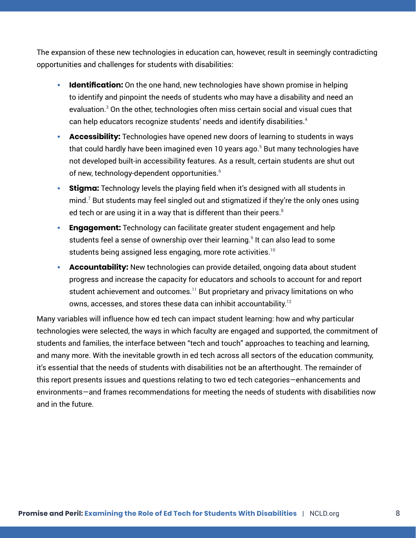The expansion of these new technologies in education can, however, result in seemingly contradicting opportunities and challenges for students with disabilities:

- **Identification:** On the one hand, new technologies have shown promise in helping to identify and pinpoint the needs of students who may have a disability and need an evaluation. $3$  On the other, technologies often miss certain social and visual cues that can help educators recognize students' needs and identify disabilities.<sup>4</sup>
- **• Accessibility:** Technologies have opened new doors of learning to students in ways that could hardly have been imagined even 10 years ago. $^5$  But many technologies have not developed built-in accessibility features. As a result, certain students are shut out of new, technology-dependent opportunities.<sup>6</sup>
- **• Stigma:** Technology levels the playing field when it's designed with all students in mind. $^7$  But students may feel singled out and stigmatized if they're the only ones using ed tech or are using it in a way that is different than their peers. $8$
- **• Engagement:** Technology can facilitate greater student engagement and help students feel a sense of ownership over their learning.<sup>9</sup> It can also lead to some students being assigned less engaging, more rote activities.<sup>10</sup>
- **• Accountability:** New technologies can provide detailed, ongoing data about student progress and increase the capacity for educators and schools to account for and report student achievement and outcomes.<sup>11</sup> But proprietary and privacy limitations on who owns, accesses, and stores these data can inhibit accountability.<sup>12</sup>

Many variables will influence how ed tech can impact student learning: how and why particular technologies were selected, the ways in which faculty are engaged and supported, the commitment of students and families, the interface between "tech and touch" approaches to teaching and learning, and many more. With the inevitable growth in ed tech across all sectors of the education community, it's essential that the needs of students with disabilities not be an afterthought. The remainder of this report presents issues and questions relating to two ed tech categories—enhancements and environments—and frames recommendations for meeting the needs of students with disabilities now and in the future.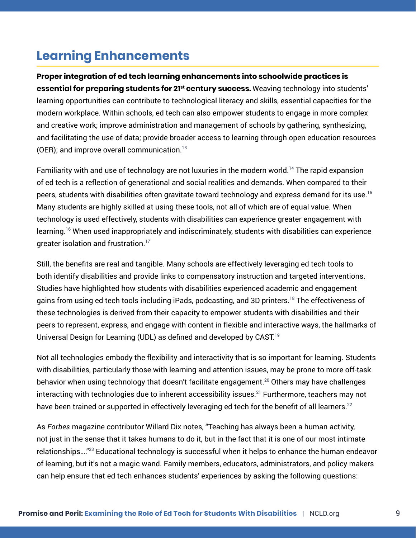# <span id="page-8-0"></span>**Learning Enhancements**

**Proper integration of ed tech learning enhancements into schoolwide practices is essential for preparing students for 21<sup>st</sup> century success.** Weaving technology into students' learning opportunities can contribute to technological literacy and skills, essential capacities for the modern workplace. Within schools, ed tech can also empower students to engage in more complex and creative work; improve administration and management of schools by gathering, synthesizing, and facilitating the use of data; provide broader access to learning through open education resources (OER); and improve overall communication. $13$ 

Familiarity with and use of technology are not luxuries in the modern world.<sup>14</sup> The rapid expansion of ed tech is a reflection of generational and social realities and demands. When compared to their peers, students with disabilities often gravitate toward technology and express demand for its use.<sup>15</sup> Many students are highly skilled at using these tools, not all of which are of equal value. When technology is used effectively, students with disabilities can experience greater engagement with learning.16 When used inappropriately and indiscriminately, students with disabilities can experience greater isolation and frustration.<sup>17</sup>

Still, the benefits are real and tangible. Many schools are effectively leveraging ed tech tools to both identify disabilities and provide links to compensatory instruction and targeted interventions. Studies have highlighted how students with disabilities experienced academic and engagement gains from using ed tech tools including iPads, podcasting, and 3D printers.<sup>18</sup> The effectiveness of these technologies is derived from their capacity to empower students with disabilities and their peers to represent, express, and engage with content in flexible and interactive ways, the hallmarks of Universal Design for Learning (UDL) as defined and developed by CAST.<sup>19</sup>

Not all technologies embody the flexibility and interactivity that is so important for learning. Students with disabilities, particularly those with learning and attention issues, may be prone to more off-task behavior when using technology that doesn't facilitate engagement.<sup>20</sup> Others mav have challenges interacting with technologies due to inherent accessibility issues.<sup>21</sup> Furthermore, teachers may not have been trained or supported in effectively leveraging ed tech for the benefit of all learners.<sup>22</sup>

As *Forbes* magazine contributor Willard Dix notes, "Teaching has always been a human activity, not just in the sense that it takes humans to do it, but in the fact that it is one of our most intimate relationships…."23 Educational technology is successful when it helps to enhance the human endeavor of learning, but it's not a magic wand. Family members, educators, administrators, and policy makers can help ensure that ed tech enhances students' experiences by asking the following questions: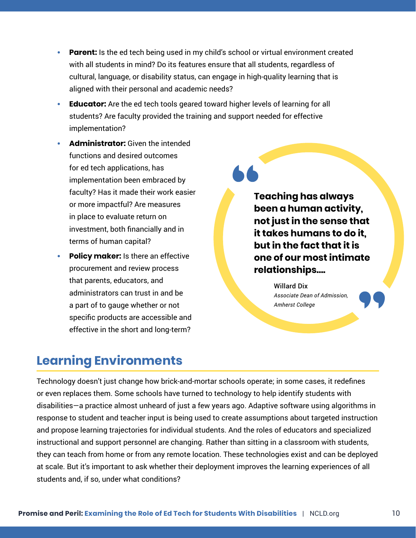- <span id="page-9-0"></span>**• Parent:** Is the ed tech being used in my child's school or virtual environment created with all students in mind? Do its features ensure that all students, regardless of cultural, language, or disability status, can engage in high-quality learning that is aligned with their personal and academic needs?
- **• Educator:** Are the ed tech tools geared toward higher levels of learning for all students? Are faculty provided the training and support needed for effective implementation?
- **• Administrator:** Given the intended functions and desired outcomes for ed tech applications, has implementation been embraced by faculty? Has it made their work easier or more impactful? Are measures in place to evaluate return on investment, both financially and in terms of human capital?
- **• Policy maker:** Is there an effective procurement and review process that parents, educators, and administrators can trust in and be a part of to gauge whether or not specific products are accessible and effective in the short and long-term?

**Teaching has always been a human activity, not just in the sense that it takes humans to do it, but in the fact that it is one of our most intimate relationships….**

> Willard Dix *Associate Dean of Admission, Amherst College*

# **Learning Environments**

Technology doesn't just change how brick-and-mortar schools operate; in some cases, it redefines or even replaces them. Some schools have turned to technology to help identify students with disabilities—a practice almost unheard of just a few years ago. Adaptive software using algorithms in response to student and teacher input is being used to create assumptions about targeted instruction and propose learning trajectories for individual students. And the roles of educators and specialized instructional and support personnel are changing. Rather than sitting in a classroom with students, they can teach from home or from any remote location. These technologies exist and can be deployed at scale. But it's important to ask whether their deployment improves the learning experiences of all students and, if so, under what conditions?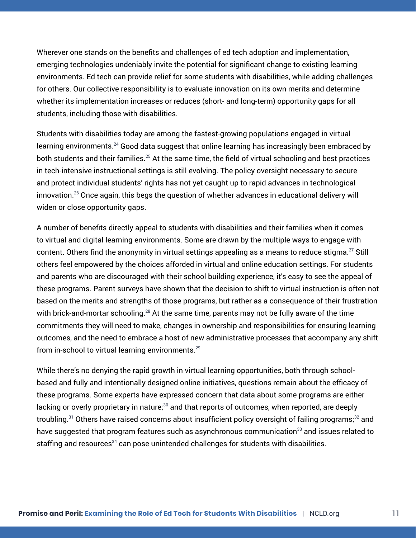Wherever one stands on the benefits and challenges of ed tech adoption and implementation, emerging technologies undeniably invite the potential for significant change to existing learning environments. Ed tech can provide relief for some students with disabilities, while adding challenges for others. Our collective responsibility is to evaluate innovation on its own merits and determine whether its implementation increases or reduces (short- and long-term) opportunity gaps for all students, including those with disabilities.

Students with disabilities today are among the fastest-growing populations engaged in virtual learning environments.<sup>24</sup> Good data suggest that online learning has increasingly been embraced by both students and their families.<sup>25</sup> At the same time, the field of virtual schooling and best practices in tech-intensive instructional settings is still evolving. The policy oversight necessary to secure and protect individual students' rights has not yet caught up to rapid advances in technological innovation.26 Once again, this begs the question of whether advances in educational delivery will widen or close opportunity gaps.

A number of benefits directly appeal to students with disabilities and their families when it comes to virtual and digital learning environments. Some are drawn by the multiple ways to engage with content. Others find the anonymity in virtual settings appealing as a means to reduce stigma.<sup>27</sup> Still others feel empowered by the choices afforded in virtual and online education settings. For students and parents who are discouraged with their school building experience, it's easy to see the appeal of these programs. Parent surveys have shown that the decision to shift to virtual instruction is often not based on the merits and strengths of those programs, but rather as a consequence of their frustration with brick-and-mortar schooling.<sup>28</sup> At the same time, parents may not be fully aware of the time commitments they will need to make, changes in ownership and responsibilities for ensuring learning outcomes, and the need to embrace a host of new administrative processes that accompany any shift from in-school to virtual learning environments.<sup>29</sup>

While there's no denying the rapid growth in virtual learning opportunities, both through schoolbased and fully and intentionally designed online initiatives, questions remain about the efficacy of these programs. Some experts have expressed concern that data about some programs are either lacking or overly proprietary in nature;<sup>30</sup> and that reports of outcomes, when reported, are deeply troubling.<sup>31</sup> Others have raised concerns about insufficient policy oversight of failing programs;<sup>32</sup> and have suggested that program features such as asynchronous communication $33$  and issues related to staffing and resources<sup>34</sup> can pose unintended challenges for students with disabilities.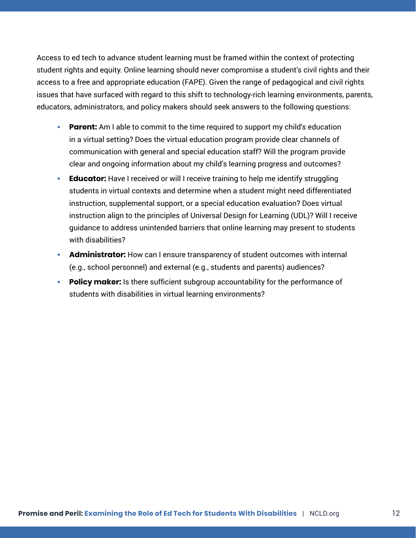Access to ed tech to advance student learning must be framed within the context of protecting student rights and equity. Online learning should never compromise a student's civil rights and their access to a free and appropriate education (FAPE). Given the range of pedagogical and civil rights issues that have surfaced with regard to this shift to technology-rich learning environments, parents, educators, administrators, and policy makers should seek answers to the following questions:

- **• Parent:** Am I able to commit to the time required to support my child's education in a virtual setting? Does the virtual education program provide clear channels of communication with general and special education staff? Will the program provide clear and ongoing information about my child's learning progress and outcomes?
- **• Educator:** Have I received or will I receive training to help me identify struggling students in virtual contexts and determine when a student might need differentiated instruction, supplemental support, or a special education evaluation? Does virtual instruction align to the principles of Universal Design for Learning (UDL)? Will I receive guidance to address unintended barriers that online learning may present to students with disabilities?
- **• Administrator:** How can I ensure transparency of student outcomes with internal (e.g., school personnel) and external (e.g., students and parents) audiences?
- **• Policy maker:** Is there sufficient subgroup accountability for the performance of students with disabilities in virtual learning environments?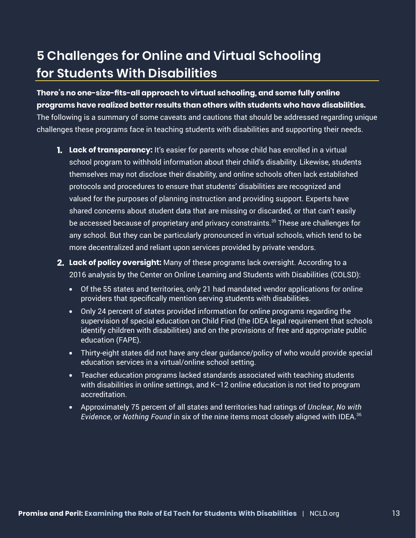# **5 Challenges for Online and Virtual Schooling for Students With Disabilities**

### **There's no one-size-fits-all approach to virtual schooling, and some fully online programs have realized better results than others with students who have disabilities.**

The following is a summary of some caveats and cautions that should be addressed regarding unique challenges these programs face in teaching students with disabilities and supporting their needs.

- **1. Lack of transparency:** It's easier for parents whose child has enrolled in a virtual school program to withhold information about their child's disability. Likewise, students themselves may not disclose their disability, and online schools often lack established protocols and procedures to ensure that students' disabilities are recognized and valued for the purposes of planning instruction and providing support. Experts have shared concerns about student data that are missing or discarded, or that can't easily be accessed because of proprietary and privacy constraints.<sup>35</sup> These are challenges for any school. But they can be particularly pronounced in virtual schools, which tend to be more decentralized and reliant upon services provided by private vendors.
- **2. Lack of policy oversight:** Many of these programs lack oversight. According to a 2016 analysis by the Center on Online Learning and Students with Disabilities (COLSD):
	- **•** Of the 55 states and territories, only 21 had mandated vendor applications for online providers that specifically mention serving students with disabilities.
	- **•** Only 24 percent of states provided information for online programs regarding the supervision of special education on Child Find (the IDEA legal requirement that schools identify children with disabilities) and on the provisions of free and appropriate public education (FAPE).
	- **•** Thirty-eight states did not have any clear guidance/policy of who would provide special education services in a virtual/online school setting.
	- **•** Teacher education programs lacked standards associated with teaching students with disabilities in online settings, and K–12 online education is not tied to program accreditation.
	- **•** Approximately 75 percent of all states and territories had ratings of *Unclear*, *No with Evidence*, or *Nothing Found* in six of the nine items most closely aligned with IDEA.36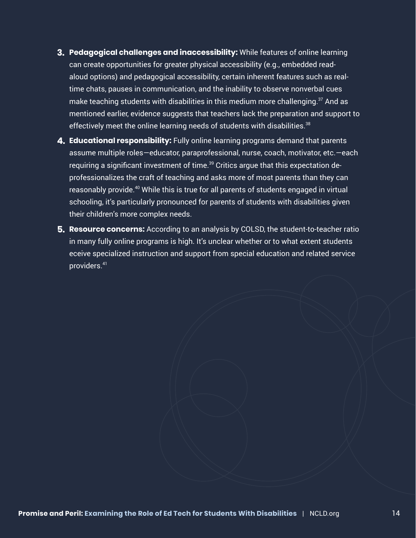- **3. Pedagogical challenges and inaccessibility:** While features of online learning can create opportunities for greater physical accessibility (e.g., embedded readaloud options) and pedagogical accessibility, certain inherent features such as realtime chats, pauses in communication, and the inability to observe nonverbal cues make teaching students with disabilities in this medium more challenging.<sup>37</sup> And as mentioned earlier, evidence suggests that teachers lack the preparation and support to effectively meet the online learning needs of students with disabilities.<sup>38</sup>
- **4. Educational responsibility:** Fully online learning programs demand that parents assume multiple roles—educator, paraprofessional, nurse, coach, motivator, etc.—each requiring a significant investment of time.<sup>39</sup> Critics argue that this expectation deprofessionalizes the craft of teaching and asks more of most parents than they can reasonably provide.<sup>40</sup> While this is true for all parents of students engaged in virtual schooling, it's particularly pronounced for parents of students with disabilities given their children's more complex needs.
- **5. Resource concerns:** According to an analysis by COLSD, the student-to-teacher ratio in many fully online programs is high. It's unclear whether or to what extent students eceive specialized instruction and support from special education and related service providers.41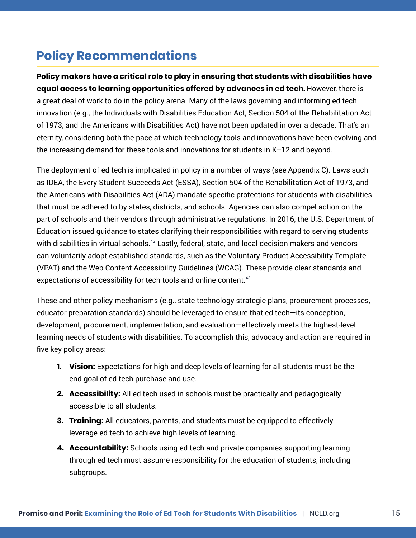# <span id="page-14-0"></span>**Policy Recommendations**

**Policy makers have a critical role to play in ensuring that students with disabilities have equal access to learning opportunities offered by advances in ed tech.**However, there is a great deal of work to do in the policy arena. Many of the laws governing and informing ed tech innovation (e.g., the Individuals with Disabilities Education Act, Section 504 of the Rehabilitation Act of 1973, and the Americans with Disabilities Act) have not been updated in over a decade. That's an eternity, considering both the pace at which technology tools and innovations have been evolving and the increasing demand for these tools and innovations for students in K–12 and beyond.

The deployment of ed tech is implicated in policy in a number of ways (see Appendix C). Laws such as IDEA, the Every Student Succeeds Act (ESSA), Section 504 of the Rehabilitation Act of 1973, and the Americans with Disabilities Act (ADA) mandate specific protections for students with disabilities that must be adhered to by states, districts, and schools. Agencies can also compel action on the part of schools and their vendors through administrative regulations. In 2016, the U.S. Department of Education issued guidance to states clarifying their responsibilities with regard to serving students with disabilities in virtual schools.<sup>42</sup> Lastly, federal, state, and local decision makers and vendors can voluntarily adopt established standards, such as the Voluntary Product Accessibility Template (VPAT) and the Web Content Accessibility Guidelines (WCAG). These provide clear standards and expectations of accessibility for tech tools and online content.<sup>43</sup>

These and other policy mechanisms (e.g., state technology strategic plans, procurement processes, educator preparation standards) should be leveraged to ensure that ed tech—its conception, development, procurement, implementation, and evaluation—effectively meets the highest-level learning needs of students with disabilities. To accomplish this, advocacy and action are required in five key policy areas:

- **1. Vision:** Expectations for high and deep levels of learning for all students must be the end goal of ed tech purchase and use.
- **2. Accessibility:** All ed tech used in schools must be practically and pedagogically accessible to all students.
- **3. Training:** All educators, parents, and students must be equipped to effectively leverage ed tech to achieve high levels of learning.
- **4. Accountability:** Schools using ed tech and private companies supporting learning through ed tech must assume responsibility for the education of students, including subgroups.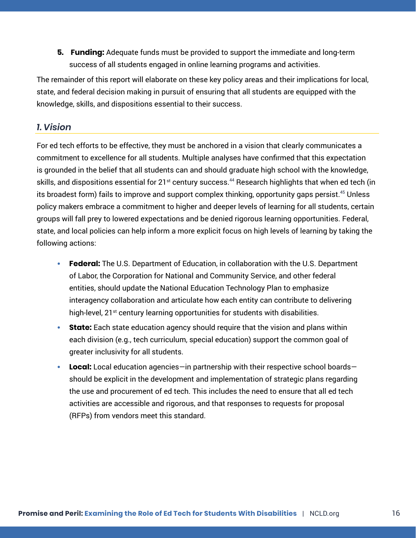<span id="page-15-0"></span>**5. Funding:** Adequate funds must be provided to support the immediate and long-term success of all students engaged in online learning programs and activities.

The remainder of this report will elaborate on these key policy areas and their implications for local, state, and federal decision making in pursuit of ensuring that all students are equipped with the knowledge, skills, and dispositions essential to their success.

### *1. Vision*

For ed tech efforts to be effective, they must be anchored in a vision that clearly communicates a commitment to excellence for all students. Multiple analyses have confirmed that this expectation is grounded in the belief that all students can and should graduate high school with the knowledge, skills, and dispositions essential for  $21^{st}$  century success.<sup>44</sup> Research highlights that when ed tech (in its broadest form) fails to improve and support complex thinking, opportunity gaps persist.<sup>45</sup> Unless policy makers embrace a commitment to higher and deeper levels of learning for all students, certain groups will fall prey to lowered expectations and be denied rigorous learning opportunities. Federal, state, and local policies can help inform a more explicit focus on high levels of learning by taking the following actions:

- **• Federal:** The U.S. Department of Education, in collaboration with the U.S. Department of Labor, the Corporation for National and Community Service, and other federal entities, should update the National Education Technology Plan to emphasize interagency collaboration and articulate how each entity can contribute to delivering high-level, 21<sup>st</sup> century learning opportunities for students with disabilities.
- **• State:** Each state education agency should require that the vision and plans within each division (e.g., tech curriculum, special education) support the common goal of greater inclusivity for all students.
- **• Local:** Local education agencies—in partnership with their respective school boards should be explicit in the development and implementation of strategic plans regarding the use and procurement of ed tech. This includes the need to ensure that all ed tech activities are accessible and rigorous, and that responses to requests for proposal (RFPs) from vendors meet this standard.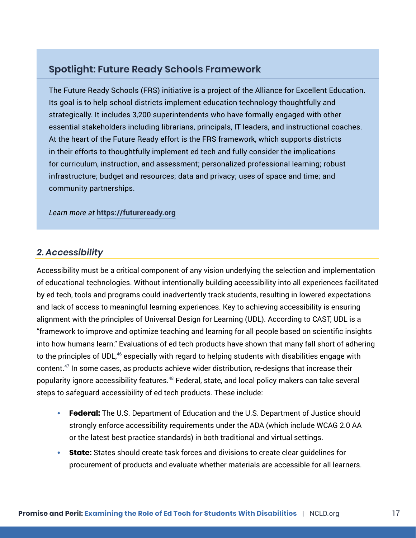### <span id="page-16-0"></span>**Spotlight: Future Ready Schools Framework**

The Future Ready Schools (FRS) initiative is a project of the Alliance for Excellent Education. Its goal is to help school districts implement education technology thoughtfully and strategically. It includes 3,200 superintendents who have formally engaged with other essential stakeholders including librarians, principals, IT leaders, and instructional coaches. At the heart of the Future Ready effort is the FRS framework, which supports districts in their efforts to thoughtfully implement ed tech and fully consider the implications for curriculum, instruction, and assessment; personalized professional learning; robust infrastructure; budget and resources; data and privacy; uses of space and time; and community partnerships.

*Learn more at* **[https://futureready.org](https://futureready.org/)**

### *2. Accessibility*

Accessibility must be a critical component of any vision underlying the selection and implementation of educational technologies. Without intentionally building accessibility into all experiences facilitated by ed tech, tools and programs could inadvertently track students, resulting in lowered expectations and lack of access to meaningful learning experiences. Key to achieving accessibility is ensuring alignment with the principles of Universal Design for Learning (UDL). According to CAST, UDL is a "framework to improve and optimize teaching and learning for all people based on scientific insights into how humans learn." Evaluations of ed tech products have shown that many fall short of adhering to the principles of UDL,<sup>46</sup> especially with regard to helping students with disabilities engage with content.47 In some cases, as products achieve wider distribution, re-designs that increase their popularity ignore accessibility features.<sup>48</sup> Federal, state, and local policy makers can take several steps to safeguard accessibility of ed tech products. These include:

- **• Federal:** The U.S. Department of Education and the U.S. Department of Justice should strongly enforce accessibility requirements under the ADA (which include WCAG 2.0 AA or the latest best practice standards) in both traditional and virtual settings.
- **• State:** States should create task forces and divisions to create clear guidelines for procurement of products and evaluate whether materials are accessible for all learners.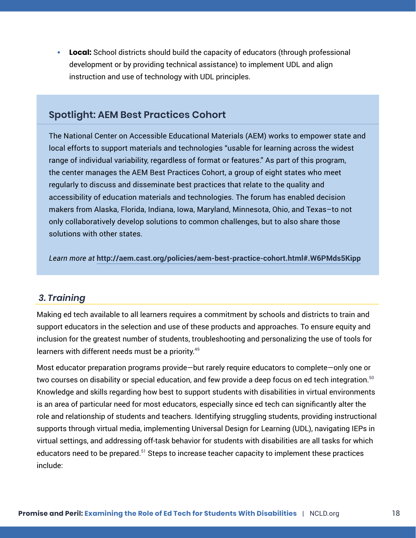<span id="page-17-0"></span>**• Local:** School districts should build the capacity of educators (through professional development or by providing technical assistance) to implement UDL and align instruction and use of technology with UDL principles.

### **Spotlight: AEM Best Practices Cohort**

The National Center on Accessible Educational Materials (AEM) works to empower state and local efforts to support materials and technologies "usable for learning across the widest range of individual variability, regardless of format or features." As part of this program, the center manages the AEM Best Practices Cohort, a group of eight states who meet regularly to discuss and disseminate best practices that relate to the quality and accessibility of education materials and technologies. The forum has enabled decision makers from Alaska, Florida, Indiana, Iowa, Maryland, Minnesota, Ohio, and Texas–to not only collaboratively develop solutions to common challenges, but to also share those solutions with other states.

*Learn more at* **<http://aem.cast.org/policies/aem-best-practice-cohort.html#.W6PMds5Kipp>**

### *3. Training*

Making ed tech available to all learners requires a commitment by schools and districts to train and support educators in the selection and use of these products and approaches. To ensure equity and inclusion for the greatest number of students, troubleshooting and personalizing the use of tools for learners with different needs must be a priority.<sup>49</sup>

Most educator preparation programs provide—but rarely require educators to complete—only one or two courses on disability or special education, and few provide a deep focus on ed tech integration. $50$ Knowledge and skills regarding how best to support students with disabilities in virtual environments is an area of particular need for most educators, especially since ed tech can significantly alter the role and relationship of students and teachers. Identifying struggling students, providing instructional supports through virtual media, implementing Universal Design for Learning (UDL), navigating IEPs in virtual settings, and addressing off-task behavior for students with disabilities are all tasks for which educators need to be prepared.<sup>51</sup> Steps to increase teacher capacity to implement these practices include: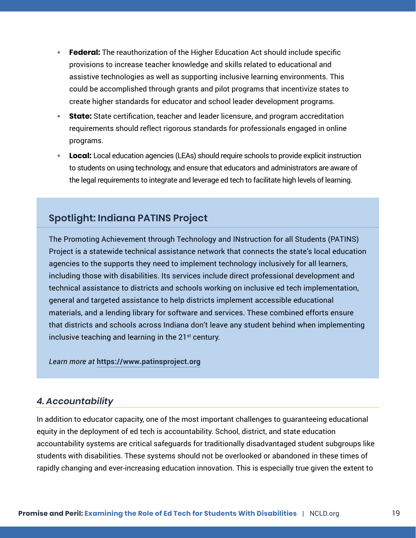- <span id="page-18-0"></span>**• Federal:** The reauthorization of the Higher Education Act should include specific provisions to increase teacher knowledge and skills related to educational and assistive technologies as well as supporting inclusive learning environments. This could be accomplished through grants and pilot programs that incentivize states to create higher standards for educator and school leader development programs.
- **• State:** State certification, teacher and leader licensure, and program accreditation requirements should reflect rigorous standards for professionals engaged in online programs.
- **• Local:** Local education agencies (LEAs) should require schools to provide explicit instruction to students on using technology, and ensure that educators and administrators are aware of the legal requirements to integrate and leverage ed tech to facilitate high levels of learning.

### **Spotlight: Indiana PATINS Project**

The Promoting Achievement through Technology and INstruction for all Students (PATINS) Project is a statewide technical assistance network that connects the state's local education agencies to the supports they need to implement technology inclusively for all learners, including those with disabilities. Its services include direct professional development and technical assistance to districts and schools working on inclusive ed tech implementation, general and targeted assistance to help districts implement accessible educational materials, and a lending library for software and services. These combined efforts ensure that districts and schools across Indiana don't leave any student behind when implementing inclusive teaching and learning in the  $21<sup>st</sup>$  century.

*Learn more at* **[https://www.patinsproject.org](https://www.patinsproject.org/)**

### *4. Accountability*

In addition to educator capacity, one of the most important challenges to guaranteeing educational equity in the deployment of ed tech is accountability. School, district, and state education accountability systems are critical safeguards for traditionally disadvantaged student subgroups like students with disabilities. These systems should not be overlooked or abandoned in these times of rapidly changing and ever-increasing education innovation. This is especially true given the extent to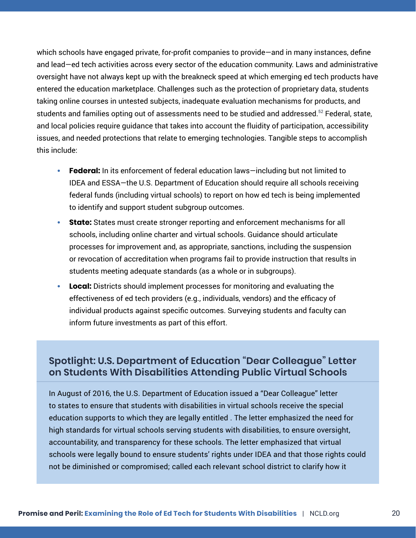which schools have engaged private, for-profit companies to provide—and in many instances, define and lead—ed tech activities across every sector of the education community. Laws and administrative oversight have not always kept up with the breakneck speed at which emerging ed tech products have entered the education marketplace. Challenges such as the protection of proprietary data, students taking online courses in untested subjects, inadequate evaluation mechanisms for products, and students and families opting out of assessments need to be studied and addressed.<sup>52</sup> Federal, state, and local policies require guidance that takes into account the fluidity of participation, accessibility issues, and needed protections that relate to emerging technologies. Tangible steps to accomplish this include:

- **• Federal:** In its enforcement of federal education laws—including but not limited to IDEA and ESSA—the U.S. Department of Education should require all schools receiving federal funds (including virtual schools) to report on how ed tech is being implemented to identify and support student subgroup outcomes.
- **• State:** States must create stronger reporting and enforcement mechanisms for all schools, including online charter and virtual schools. Guidance should articulate processes for improvement and, as appropriate, sanctions, including the suspension or revocation of accreditation when programs fail to provide instruction that results in students meeting adequate standards (as a whole or in subgroups).
- **• Local:** Districts should implement processes for monitoring and evaluating the effectiveness of ed tech providers (e.g., individuals, vendors) and the efficacy of individual products against specific outcomes. Surveying students and faculty can inform future investments as part of this effort.

### **Spotlight: U.S. Department of Education "Dear Colleague" Letter on Students With Disabilities Attending Public Virtual Schools**

In August of 2016, the U.S. Department of Education issued a "Dear Colleague" letter to states to ensure that students with disabilities in virtual schools receive the special education supports to which they are legally entitled . The letter emphasized the need for high standards for virtual schools serving students with disabilities, to ensure oversight, accountability, and transparency for these schools. The letter emphasized that virtual schools were legally bound to ensure students' rights under IDEA and that those rights could not be diminished or compromised; called each relevant school district to clarify how it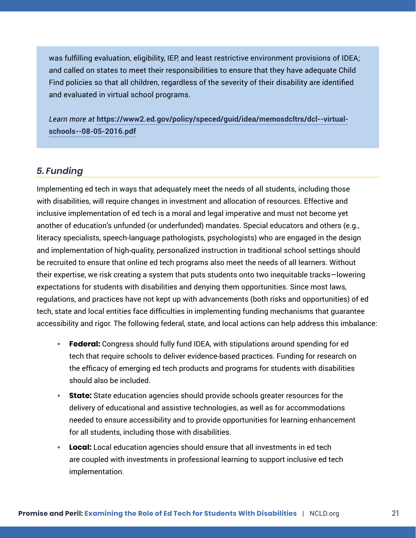<span id="page-20-0"></span>was fulfilling evaluation, eligibility, IEP, and least restrictive environment provisions of IDEA; and called on states to meet their responsibilities to ensure that they have adequate Child Find policies so that all children, regardless of the severity of their disability are identified and evaluated in virtual school programs.

*Learn more at* **[https://www2.ed.gov/policy/speced/guid/idea/memosdcltrs/dcl--virtual](https://www2.ed.gov/policy/speced/guid/idea/memosdcltrs/dcl--virtual-schools--08-05-2016.pdf)[schools--08-05-2016.pdf](https://www2.ed.gov/policy/speced/guid/idea/memosdcltrs/dcl--virtual-schools--08-05-2016.pdf)**

### *5. Funding*

Implementing ed tech in ways that adequately meet the needs of all students, including those with disabilities, will require changes in investment and allocation of resources. Effective and inclusive implementation of ed tech is a moral and legal imperative and must not become yet another of education's unfunded (or underfunded) mandates. Special educators and others (e.g., literacy specialists, speech-language pathologists, psychologists) who are engaged in the design and implementation of high-quality, personalized instruction in traditional school settings should be recruited to ensure that online ed tech programs also meet the needs of all learners. Without their expertise, we risk creating a system that puts students onto two inequitable tracks—lowering expectations for students with disabilities and denying them opportunities. Since most laws, regulations, and practices have not kept up with advancements (both risks and opportunities) of ed tech, state and local entities face difficulties in implementing funding mechanisms that guarantee accessibility and rigor. The following federal, state, and local actions can help address this imbalance:

- **• Federal:** Congress should fully fund IDEA, with stipulations around spending for ed tech that require schools to deliver evidence-based practices. Funding for research on the efficacy of emerging ed tech products and programs for students with disabilities should also be included.
- **• State:** State education agencies should provide schools greater resources for the delivery of educational and assistive technologies, as well as for accommodations needed to ensure accessibility and to provide opportunities for learning enhancement for all students, including those with disabilities.
- **• Local:** Local education agencies should ensure that all investments in ed tech are coupled with investments in professional learning to support inclusive ed tech implementation.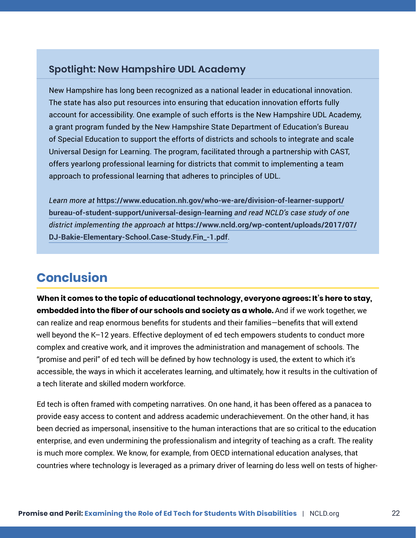### <span id="page-21-0"></span>**Spotlight: New Hampshire UDL Academy**

New Hampshire has long been recognized as a national leader in educational innovation. The state has also put resources into ensuring that education innovation efforts fully account for accessibility. One example of such efforts is the New Hampshire UDL Academy, a grant program funded by the New Hampshire State Department of Education's Bureau of Special Education to support the efforts of districts and schools to integrate and scale Universal Design for Learning. The program, facilitated through a partnership with CAST, offers yearlong professional learning for districts that commit to implementing a team approach to professional learning that adheres to principles of UDL.

*Learn more at* **[https://www.education.nh.gov/who-we-are/division-of-learner-support/](https://www.education.nh.gov/who-we-are/division-of-learner-support/bureau-of-student-support/universal-design-learning) [bureau-of-student-support/universal-design-learning](https://www.education.nh.gov/who-we-are/division-of-learner-support/bureau-of-student-support/universal-design-learning)** *and read NCLD's case study of one district implementing the approach at* **[https://www.ncld.org/wp-content/uploads/2017/07/](https://www.ncld.org/wp-content/uploads/2017/07/DJ-Bakie-Elementary-School.Case-Study.Fin_-1.pdf) [DJ-Bakie-Elementary-School.Case-Study.Fin\\_-1.pdf](https://www.ncld.org/wp-content/uploads/2017/07/DJ-Bakie-Elementary-School.Case-Study.Fin_-1.pdf)**.

# **Conclusion**

**When it comes to the topic of educational technology, everyone agrees: It's here to stay, embedded into the fiber of our schools and society as a whole.** And if we work together, we can realize and reap enormous benefits for students and their families—benefits that will extend well beyond the K–12 years. Effective deployment of ed tech empowers students to conduct more complex and creative work, and it improves the administration and management of schools. The "promise and peril" of ed tech will be defined by how technology is used, the extent to which it's accessible, the ways in which it accelerates learning, and ultimately, how it results in the cultivation of a tech literate and skilled modern workforce.

Ed tech is often framed with competing narratives. On one hand, it has been offered as a panacea to provide easy access to content and address academic underachievement. On the other hand, it has been decried as impersonal, insensitive to the human interactions that are so critical to the education enterprise, and even undermining the professionalism and integrity of teaching as a craft. The reality is much more complex. We know, for example, from OECD international education analyses, that countries where technology is leveraged as a primary driver of learning do less well on tests of higher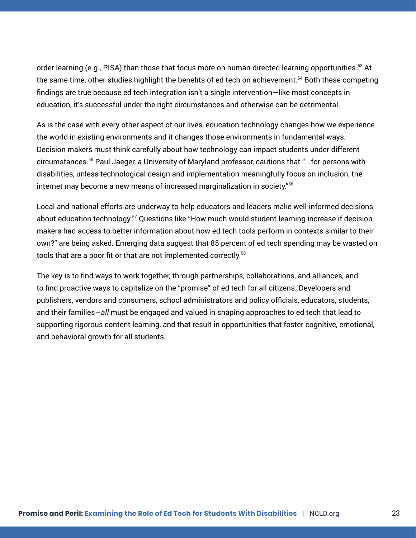order learning (e.g., PISA) than those that focus more on human-directed learning opportunities.<sup>53</sup> At the same time, other studies highlight the benefits of ed tech on achievement.<sup>54</sup> Both these competing findings are true because ed tech integration isn't a single intervention—like most concepts in education, it's successful under the right circumstances and otherwise can be detrimental.

As is the case with every other aspect of our lives, education technology changes how we experience the world in existing environments and it changes those environments in fundamental ways. Decision makers must think carefully about how technology can impact students under different circumstances.55 Paul Jaeger, a University of Maryland professor, cautions that "...for persons with disabilities, unless technological design and implementation meaningfully focus on inclusion, the internet may become a new means of increased marginalization in society."56

Local and national efforts are underway to help educators and leaders make well-informed decisions about education technology.<sup>57</sup> Questions like "How much would student learning increase if decision makers had access to better information about how ed tech tools perform in contexts similar to their own?" are being asked. Emerging data suggest that 85 percent of ed tech spending may be wasted on tools that are a poor fit or that are not implemented correctly.<sup>58</sup>

The key is to find ways to work together, through partnerships, collaborations, and alliances, and to find proactive ways to capitalize on the "promise" of ed tech for all citizens. Developers and publishers, vendors and consumers, school administrators and policy officials, educators, students, and their families—*all* must be engaged and valued in shaping approaches to ed tech that lead to supporting rigorous content learning, and that result in opportunities that foster cognitive, emotional, and behavioral growth for all students.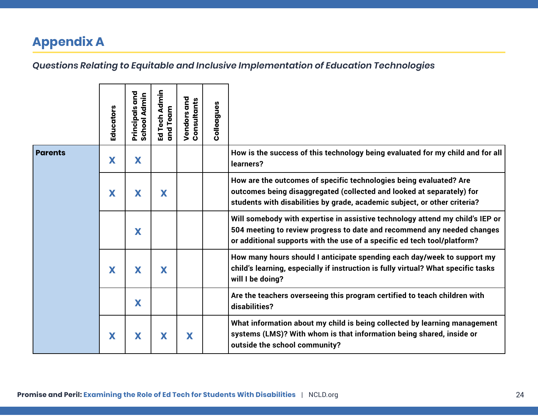# <span id="page-23-0"></span>**Appendix A**

|                | Educators | nd<br>G<br><b>School Admin</b><br>Principals | Ed Tech Admin<br>and Team | Vendors and<br>Consultants | <b>Colleagues</b> |                                                                                                                                                                                                                                      |
|----------------|-----------|----------------------------------------------|---------------------------|----------------------------|-------------------|--------------------------------------------------------------------------------------------------------------------------------------------------------------------------------------------------------------------------------------|
| <b>Parents</b> | X         | X                                            |                           |                            |                   | How is the success of this technology being evaluated for my child and for all<br>learners?                                                                                                                                          |
|                | X         | X                                            | X                         |                            |                   | How are the outcomes of specific technologies being evaluated? Are<br>outcomes being disaggregated (collected and looked at separately) for<br>students with disabilities by grade, academic subject, or other criteria?             |
|                |           | X                                            |                           |                            |                   | Will somebody with expertise in assistive technology attend my child's IEP or<br>504 meeting to review progress to date and recommend any needed changes<br>or additional supports with the use of a specific ed tech tool/platform? |
|                | X         | X                                            | X                         |                            |                   | How many hours should I anticipate spending each day/week to support my<br>child's learning, especially if instruction is fully virtual? What specific tasks<br>will I be doing?                                                     |
|                |           | X                                            |                           |                            |                   | Are the teachers overseeing this program certified to teach children with<br>disabilities?                                                                                                                                           |
|                | X         | X                                            | X                         | X                          |                   | What information about my child is being collected by learning management<br>systems (LMS)? With whom is that information being shared, inside or<br>outside the school community?                                                   |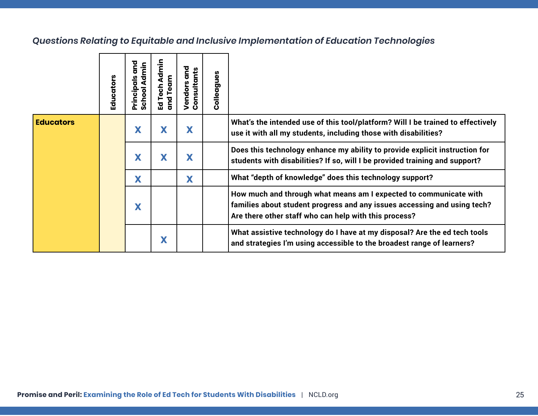|                  | Educators | and<br>Principals and<br>School Admin | Ed Tech Admin<br>and Team | Vendors and<br>Consultants | Colleagues |                                                                                                                                                                                                        |
|------------------|-----------|---------------------------------------|---------------------------|----------------------------|------------|--------------------------------------------------------------------------------------------------------------------------------------------------------------------------------------------------------|
| <b>Educators</b> |           | X                                     | X                         | X                          |            | What's the intended use of this tool/platform? Will I be trained to effectively<br>use it with all my students, including those with disabilities?                                                     |
|                  |           | X                                     | X                         | X                          |            | Does this technology enhance my ability to provide explicit instruction for<br>students with disabilities? If so, will I be provided training and support?                                             |
|                  |           | X                                     |                           | X                          |            | What "depth of knowledge" does this technology support?                                                                                                                                                |
|                  |           | X                                     |                           |                            |            | How much and through what means am I expected to communicate with<br>families about student progress and any issues accessing and using tech?<br>Are there other staff who can help with this process? |
|                  |           |                                       | X                         |                            |            | What assistive technology do I have at my disposal? Are the ed tech tools<br>and strategies I'm using accessible to the broadest range of learners?                                                    |
|                  |           |                                       |                           |                            |            |                                                                                                                                                                                                        |
|                  |           |                                       |                           |                            |            |                                                                                                                                                                                                        |
|                  |           |                                       |                           |                            |            |                                                                                                                                                                                                        |
|                  |           |                                       |                           |                            |            |                                                                                                                                                                                                        |
|                  |           |                                       |                           |                            |            | Promise and Peril: Examining the Role of Ed Tech for Students With Disabilities  <br>NCLD.org                                                                                                          |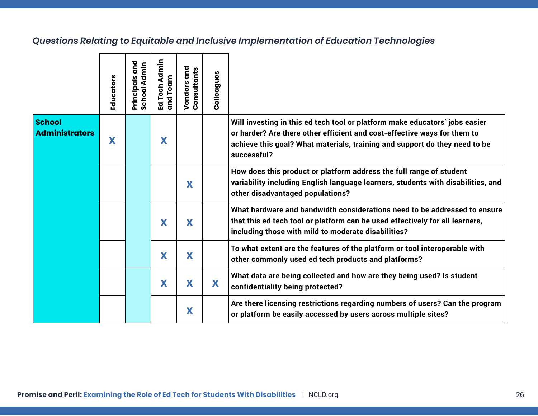| <b>School</b><br><b>Administrators</b><br>X |   |   |   |                                                                                                                                                                                                                                                      |
|---------------------------------------------|---|---|---|------------------------------------------------------------------------------------------------------------------------------------------------------------------------------------------------------------------------------------------------------|
|                                             | X |   |   | Will investing in this ed tech tool or platform make educators' jobs easier<br>or harder? Are there other efficient and cost-effective ways for them to<br>achieve this goal? What materials, training and support do they need to be<br>successful? |
|                                             |   | X |   | How does this product or platform address the full range of student<br>variability including English language learners, students with disabilities, and<br>other disadvantaged populations?                                                          |
|                                             | X | X |   | What hardware and bandwidth considerations need to be addressed to ensure<br>that this ed tech tool or platform can be used effectively for all learners,<br>including those with mild to moderate disabilities?                                     |
|                                             | X | X |   | To what extent are the features of the platform or tool interoperable with<br>other commonly used ed tech products and platforms?                                                                                                                    |
|                                             | X | X | X | What data are being collected and how are they being used? Is student<br>confidentiality being protected?                                                                                                                                            |
|                                             |   | X |   | Are there licensing restrictions regarding numbers of users? Can the program<br>or platform be easily accessed by users across multiple sites?                                                                                                       |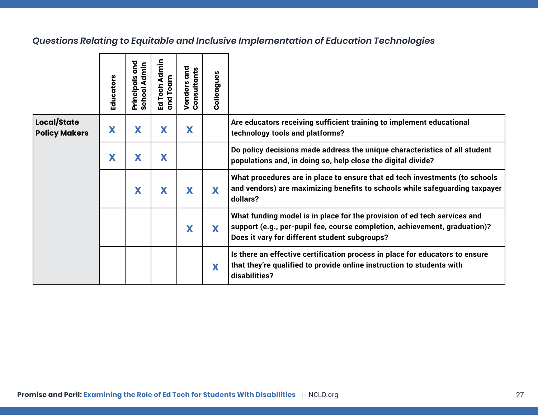|                                     | Educators | Principals and<br>School Admin | Ed Tech Admin<br>and Team | Vendors and<br>Consultants | Colleagues |                                                                                                                                                                                                         |
|-------------------------------------|-----------|--------------------------------|---------------------------|----------------------------|------------|---------------------------------------------------------------------------------------------------------------------------------------------------------------------------------------------------------|
| Local/State<br><b>Policy Makers</b> | X         | X                              | X                         | X                          |            | Are educators receiving sufficient training to implement educational<br>technology tools and platforms?                                                                                                 |
|                                     | X         | X                              | X                         |                            |            | Do policy decisions made address the unique characteristics of all student<br>populations and, in doing so, help close the digital divide?                                                              |
|                                     |           | X                              | X                         | X                          | X          | What procedures are in place to ensure that ed tech investments (to schools<br>and vendors) are maximizing benefits to schools while safeguarding taxpayer<br>dollars?                                  |
|                                     |           |                                |                           | X                          | X          | What funding model is in place for the provision of ed tech services and<br>support (e.g., per-pupil fee, course completion, achievement, graduation)?<br>Does it vary for different student subgroups? |
|                                     |           |                                |                           |                            | X          | Is there an effective certification process in place for educators to ensure<br>that they're qualified to provide online instruction to students with<br>disabilities?                                  |
|                                     |           |                                |                           |                            |            |                                                                                                                                                                                                         |
|                                     |           |                                |                           |                            |            |                                                                                                                                                                                                         |
|                                     |           |                                |                           |                            |            |                                                                                                                                                                                                         |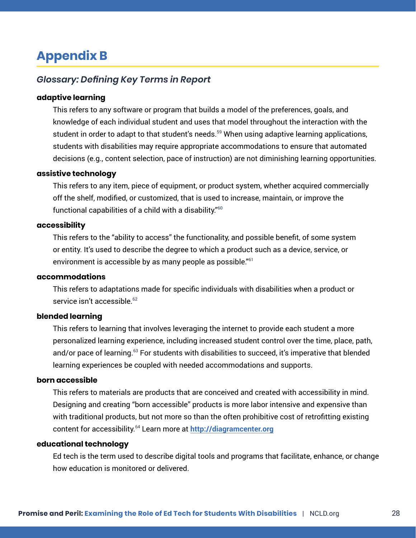# <span id="page-27-0"></span>**Appendix B**

### *Glossary: Defining Key Terms in Report*

#### **adaptive learning**

This refers to any software or program that builds a model of the preferences, goals, and knowledge of each individual student and uses that model throughout the interaction with the student in order to adapt to that student's needs.<sup>59</sup> When using adaptive learning applications, students with disabilities may require appropriate accommodations to ensure that automated decisions (e.g., content selection, pace of instruction) are not diminishing learning opportunities.

#### **assistive technology**

This refers to any item, piece of equipment, or product system, whether acquired commercially off the shelf, modified, or customized, that is used to increase, maintain, or improve the functional capabilities of a child with a disability."<sup>60</sup>

#### **accessibility**

This refers to the "ability to access" the functionality, and possible benefit, of some system or entity. It's used to describe the degree to which a product such as a device, service, or environment is accessible by as many people as possible."<sup>61</sup>

#### **accommodations**

This refers to adaptations made for specific individuals with disabilities when a product or service isn't accessible.<sup>62</sup>

#### **blended learning**

This refers to learning that involves leveraging the internet to provide each student a more personalized learning experience, including increased student control over the time, place, path, and/or pace of learning.<sup>63</sup> For students with disabilities to succeed, it's imperative that blended learning experiences be coupled with needed accommodations and supports.

#### **born accessible**

This refers to materials are products that are conceived and created with accessibility in mind. Designing and creating "born accessible" products is more labor intensive and expensive than with traditional products, but not more so than the often prohibitive cost of retrofitting existing content for accessibility.64 Learn more at **[http://diagramcenter.org](http://diagramcenter.org/)**

#### **educational technology**

Ed tech is the term used to describe digital tools and programs that facilitate, enhance, or change how education is monitored or delivered.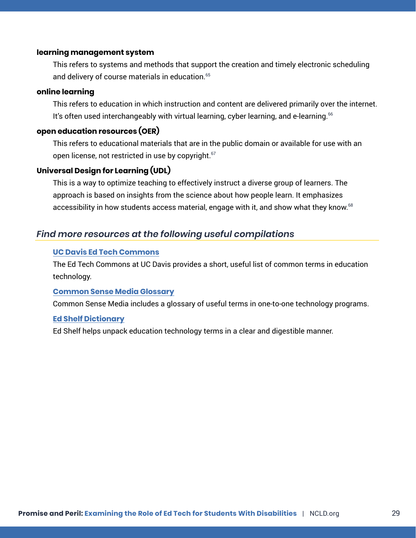#### **learning management system**

This refers to systems and methods that support the creation and timely electronic scheduling and delivery of course materials in education.<sup>65</sup>

#### **online learning**

This refers to education in which instruction and content are delivered primarily over the internet. It's often used interchangeably with virtual learning, cyber learning, and e-learning.<sup>66</sup>

#### **open education resources (OER)**

This refers to educational materials that are in the public domain or available for use with an open license, not restricted in use by copyright.<sup>67</sup>

#### **Universal Design for Learning (UDL)**

This is a way to optimize teaching to effectively instruct a diverse group of learners. The approach is based on insights from the science about how people learn. It emphasizes accessibility in how students access material, engage with it, and show what they know.<sup>68</sup>

#### *Find more resources at the following useful compilations*

#### **[UC Davis Ed Tech Commons](https://edtech.ucdavis.edu/resources/glossary-of-edtech-terms/)**

The Ed Tech Commons at UC Davis provides a short, useful list of common terms in education technology.

#### **[Common Sense Media Glossary](https://www.commonsensemedia.org/sites/default/files/uploads/pdfs/phase2_glossary_final_040113.pdf)**

Common Sense Media includes a glossary of useful terms in one-to-one technology programs.

#### **[Ed Shelf Dictionary](https://edshelf.com/education-technology-dictionary/)**

Ed Shelf helps unpack education technology terms in a clear and digestible manner.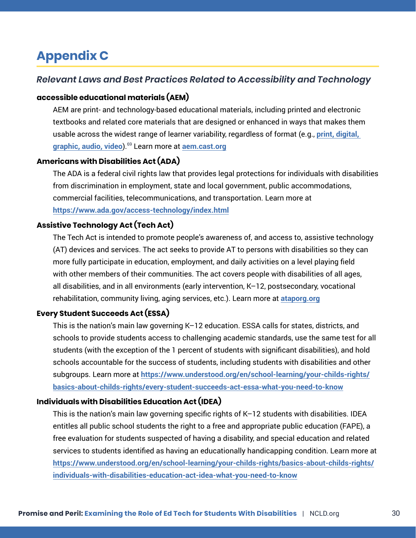# <span id="page-29-0"></span>**Appendix C**

### *Relevant Laws and Best Practices Related to Accessibility and Technology*

#### **accessible educational materials (AEM)**

AEM are print- and technology-based educational materials, including printed and electronic textbooks and related core materials that are designed or enhanced in ways that makes them usable across the widest range of learner variability, regardless of format (e.g., **[print, digital,](http://aem.cast.org/about/what-are-aem-accessible-technologies.html)  [graphic, audio, video](http://aem.cast.org/about/what-are-aem-accessible-technologies.html)**).69 Learn more at **[aem.cast.org](http://aem.cast.org)**

#### **Americans with Disabilities Act (ADA)**

The ADA is a federal civil rights law that provides legal protections for individuals with disabilities from discrimination in employment, state and local government, public accommodations, commercial facilities, telecommunications, and transportation. Learn more at **<https://www.ada.gov/access-technology/index.html>**

### **Assistive Technology Act (Tech Act)**

The Tech Act is intended to promote people's awareness of, and access to, assistive technology (AT) devices and services. The act seeks to provide AT to persons with disabilities so they can more fully participate in education, employment, and daily activities on a level playing field with other members of their communities. The act covers people with disabilities of all ages, all disabilities, and in all environments (early intervention, K–12, postsecondary, vocational rehabilitation, community living, aging services, etc.). Learn more at **[ataporg.org](http://ataporg.org)**

### **Every Student Succeeds Act (ESSA)**

This is the nation's main law governing K–12 education. ESSA calls for states, districts, and schools to provide students access to challenging academic standards, use the same test for all students (with the exception of the 1 percent of students with significant disabilities), and hold schools accountable for the success of students, including students with disabilities and other subgroups. Learn more at **[https://www.understood.org/en/school-learning/your-childs-rights/](https://www.understood.org/en/school-learning/your-childs-rights/basics-about-childs-rights/every-student-succeeds-act-essa-what-you-need-to-know) [basics-about-childs-rights/every-student-succeeds-act-essa-what-you-need-to-know](https://www.understood.org/en/school-learning/your-childs-rights/basics-about-childs-rights/every-student-succeeds-act-essa-what-you-need-to-know)**

#### **Individuals with Disabilities Education Act (IDEA)**

This is the nation's main law governing specific rights of K–12 students with disabilities. IDEA entitles all public school students the right to a free and appropriate public education (FAPE), a free evaluation for students suspected of having a disability, and special education and related services to students identified as having an educationally handicapping condition. Learn more at **[https://www.understood.org/en/school-learning/your-childs-rights/basics-about-childs-rights/](https://www.understood.org/en/school-learning/your-childs-rights/basics-about-childs-rights/individuals-with-disabilities-education-act-idea-what-you-need-to-know) [individuals-with-disabilities-education-act-idea-what-you-need-to-know](https://www.understood.org/en/school-learning/your-childs-rights/basics-about-childs-rights/individuals-with-disabilities-education-act-idea-what-you-need-to-know)**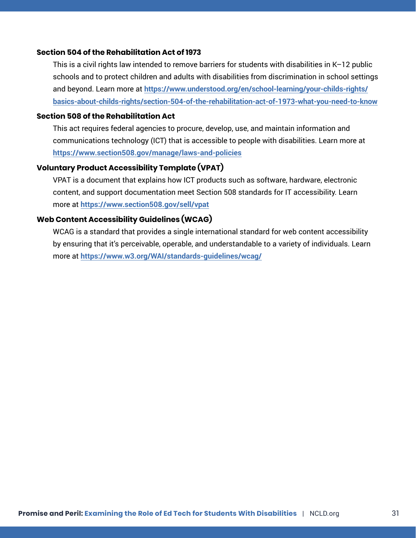#### **Section 504 of the Rehabilitation Act of 1973**

This is a civil rights law intended to remove barriers for students with disabilities in K–12 public schools and to protect children and adults with disabilities from discrimination in school settings and beyond. Learn more at **[https://www.understood.org/en/school-learning/your-childs-rights/](https://www.understood.org/en/school-learning/your-childs-rights/basics-about-childs-rights/section-504-of-the-rehabilitation-act-of-1973-what-you-need-to-know) [basics-about-childs-rights/section-504-of-the-rehabilitation-act-of-1973-what-you-need-to-know](https://www.understood.org/en/school-learning/your-childs-rights/basics-about-childs-rights/section-504-of-the-rehabilitation-act-of-1973-what-you-need-to-know)**

#### **Section 508 of the Rehabilitation Act**

This act requires federal agencies to procure, develop, use, and maintain information and communications technology (ICT) that is accessible to people with disabilities. Learn more at **<https://www.section508.gov/manage/laws-and-policies>**

#### **Voluntary Product Accessibility Template (VPAT)**

VPAT is a document that explains how ICT products such as software, hardware, electronic content, and support documentation meet Section 508 standards for IT accessibility. Learn more at **<https://www.section508.gov/sell/vpat>**

#### **Web Content Accessibility Guidelines (WCAG)**

WCAG is a standard that provides a single international standard for web content accessibility by ensuring that it's perceivable, operable, and understandable to a variety of individuals. Learn more at **<https://www.w3.org/WAI/standards-guidelines/wcag/>**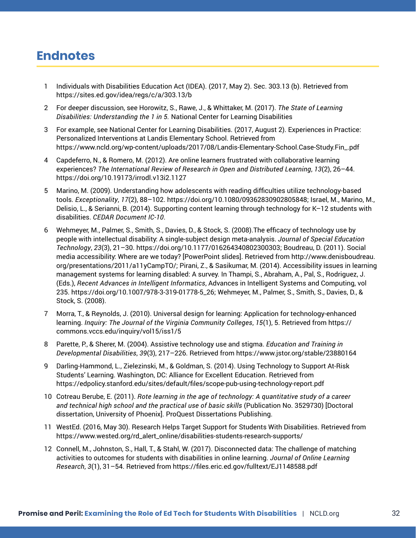# <span id="page-31-0"></span>**Endnotes**

- 1 Individuals with Disabilities Education Act (IDEA). (2017, May 2). Sec. 303.13 (b). Retrieved from https://sites.ed.gov/idea/regs/c/a/303.13/b
- 2 For deeper discussion, see Horowitz, S., Rawe, J., & Whittaker, M. (2017). *The State of Learning Disabilities: Understanding the 1 in 5.* National Center for Learning Disabilities**.**
- 3 For example, see National Center for Learning Disabilities. (2017, August 2). Experiences in Practice: Personalized Interventions at Landis Elementary School. Retrieved from https://www.ncld.org/wp-content/uploads/2017/08/Landis-Elementary-School.Case-Study.Fin\_.pdf
- 4 Capdeferro, N., & Romero, M. (2012). Are online learners frustrated with collaborative learning experiences? *The International Review of Research in Open and Distributed Learning*, *13*(2), 26–44. https://doi.org/10.19173/irrodl.v13i2.1127
- 5 Marino, M. (2009). Understanding how adolescents with reading difficulties utilize technology-based tools. *Exceptionality*, *17*(2), 88–102. https://doi.org/10.1080/09362830902805848; Israel, M., Marino, M., Delisio, L., & Serianni, B. (2014). Supporting content learning through technology for K–12 students with disabilities. *CEDAR Document IC-10*.
- 6 Wehmeyer, M., Palmer, S., Smith, S., Davies, D., & Stock, S. (2008).The efficacy of technology use by people with intellectual disability: A single-subject design meta-analysis. *Journal of Special Education Technology*, *23*(3), 21–30. https://doi.org/10.1177/016264340802300303; Boudreau, D. (2011). Social media accessibility: Where are we today? [PowerPoint slides]. Retrieved from http://www.denisboudreau. org/presentations/2011/a11yCampTO/; Pirani, Z., & Sasikumar, M. (2014). Accessibility issues in learning management systems for learning disabled: A survey. In Thampi, S., Abraham, A., Pal, S., Rodriguez, J. (Eds.), *Recent Advances in Intelligent Informatics*, Advances in Intelligent Systems and Computing, vol 235. https://doi.org/10.1007/978-3-319-01778-5\_26; Wehmeyer, M., Palmer, S., Smith, S., Davies, D., & Stock, S. (2008).
- 7 Morra, T., & Reynolds, J. (2010). Universal design for learning: Application for technology-enhanced learning. *Inquiry: The Journal of the Virginia Community Colleges*, *15*(1), 5. Retrieved from https:// commons.vccs.edu/inquiry/vol15/iss1/5
- 8 Parette, P., & Sherer, M. (2004). Assistive technology use and stigma. *Education and Training in Developmental Disabilities*, *39*(3), 217–226. Retrieved from https://www.jstor.org/stable/23880164
- 9 Darling-Hammond, L., Zielezinski, M., & Goldman, S. (2014). Using Technology to Support At-Risk Students' Learning. Washington, DC: Alliance for Excellent Education. Retrieved from https://edpolicy.stanford.edu/sites/default/files/scope-pub-using-technology-report.pdf
- 10 Cotreau Berube, E. (2011). *Rote learning in the age of technology: A quantitative study of a career and technical high school and the practical use of basic skills* (Publication No. 3529730) [Doctoral dissertation, University of Phoenix]. ProQuest Dissertations Publishing.
- 11 WestEd. (2016, May 30). Research Helps Target Support for Students With Disabilities. Retrieved from https://www.wested.org/rd\_alert\_online/disabilities-students-research-supports/
- 12 Connell, M., Johnston, S., Hall, T., & Stahl, W. (2017). Disconnected data: The challenge of matching activities to outcomes for students with disabilities in online learning. *Journal of Online Learning Research*, *3*(1), 31–54. Retrieved from https://files.eric.ed.gov/fulltext/EJ1148588.pdf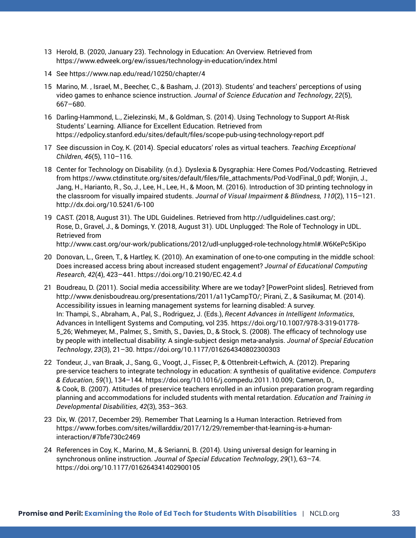- 13 Herold, B. (2020, January 23). Technology in Education: An Overview. Retrieved from https://www.edweek.org/ew/issues/technology-in-education/index.html
- 14 See https://www.nap.edu/read/10250/chapter/4
- 15 Marino, M. , Israel, M., Beecher, C., & Basham, J. (2013). Students' and teachers' perceptions of using video games to enhance science instruction. *Journal of Science Education and Technology*, *22*(5), 667–680.
- 16 Darling-Hammond, L., Zielezinski, M., & Goldman, S. (2014). Using Technology to Support At-Risk Students' Learning. Alliance for Excellent Education. Retrieved from https://edpolicy.stanford.edu/sites/default/files/scope-pub-using-technology-report.pdf
- 17 See discussion in Coy, K. (2014). Special educators' roles as virtual teachers. *Teaching Exceptional Children*, *46*(5), 110–116.
- 18 Center for Technology on Disability. (n.d.). Dyslexia & Dysgraphia: Here Comes Pod/Vodcasting. Retrieved from https://www.ctdinstitute.org/sites/default/files/file\_attachments/Pod-VodFinal\_0.pdf; Wonjin, J., Jang, H., Harianto, R., So, J., Lee, H., Lee, H., & Moon, M. (2016). Introduction of 3D printing technology in the classroom for visually impaired students. *Journal of Visual Impairment & Blindness, 110*(2), 115–121. http://dx.doi.org/10.5241/6-100
- 19 CAST. (2018, August 31). The UDL Guidelines. Retrieved from http://udlguidelines.cast.org/; Rose, D., Gravel, J., & Domings, Y. (2018, August 31). UDL Unplugged: The Role of Technology in UDL. Retrieved from http://www.cast.org/our-work/publications/2012/udl-unplugged-role-technology.html#.W6KePc5Kipo
- 20 Donovan, L., Green, T., & Hartley, K. (2010). An examination of one-to-one computing in the middle school: Does increased access bring about increased student engagement? *Journal of Educational Computing Research*, *42*(4), 423–441. https://doi.org/10.2190/EC.42.4.d
- 21 Boudreau, D. (2011). Social media accessibility: Where are we today? [PowerPoint slides]. Retrieved from http://www.denisboudreau.org/presentations/2011/a11yCampTO/; Pirani, Z., & Sasikumar, M. (2014). Accessibility issues in learning management systems for learning disabled: A survey. In: Thampi, S., Abraham, A., Pal, S., Rodriguez, J. (Eds.), *Recent Advances in Intelligent Informatics*, Advances in Intelligent Systems and Computing, vol 235. https://doi.org/10.1007/978-3-319-01778- 5\_26; Wehmeyer, M., Palmer, S., Smith, S., Davies, D., & Stock, S. (2008). The efficacy of technology use by people with intellectual disability: A single-subject design meta-analysis. *Journal of Special Education Technology*, *23*(3), 21–30. https://doi.org/10.1177/016264340802300303
- 22 Tondeur, J., van Braak, J., Sang, G., Voogt, J., Fisser, P., & Ottenbreit-Leftwich, A. (2012). Preparing pre-service teachers to integrate technology in education: A synthesis of qualitative evidence. *Computers & Education*, *59*(1), 134–144. https://doi.org/10.1016/j.compedu.2011.10.009; Cameron, D., & Cook, B. (2007). Attitudes of preservice teachers enrolled in an infusion preparation program regarding planning and accommodations for included students with mental retardation. *Education and Training in Developmental Disabilities*, *42*(3), 353–363.
- 23 Dix, W. (2017, December 29). Remember That Learning Is a Human Interaction. Retrieved from https://www.forbes.com/sites/willarddix/2017/12/29/remember-that-learning-is-a-humaninteraction/#7bfe730c2469
- 24 References in Coy, K., Marino, M., & Serianni, B. (2014). Using universal design for learning in synchronous online instruction. *Journal of Special Education Technology*, *29*(1), 63–74. https://doi.org/10.1177/016264341402900105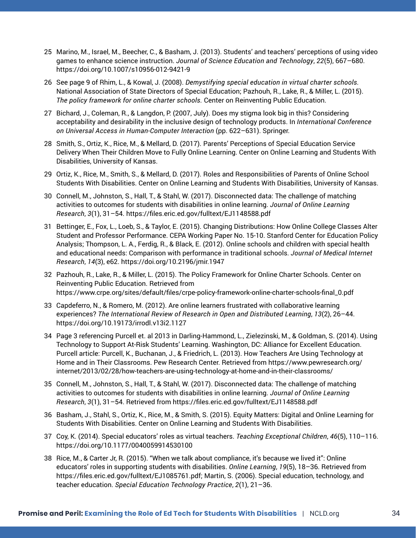- 25 Marino, M., Israel, M., Beecher, C., & Basham, J. (2013). Students' and teachers' perceptions of using video games to enhance science instruction. *Journal of Science Education and Technology*, *22*(5), 667–680. https://doi.org/10.1007/s10956-012-9421-9
- 26 See page 9 of Rhim, L., & Kowal, J. (2008). *Demystifying special education in virtual charter schools.* National Association of State Directors of Special Education; Pazhouh, R., Lake, R., & Miller, L. (2015). *The policy framework for online charter schools.* Center on Reinventing Public Education.
- 27 Bichard, J., Coleman, R., & Langdon, P. (2007, July). Does my stigma look big in this? Considering acceptability and desirability in the inclusive design of technology products. In *International Conference on Universal Access in Human-Computer Interaction* (pp. 622–631). Springer.
- 28 Smith, S., Ortiz, K., Rice, M., & Mellard, D. (2017). Parents' Perceptions of Special Education Service Delivery When Their Children Move to Fully Online Learning. Center on Online Learning and Students With Disabilities, University of Kansas.
- 29 Ortiz, K., Rice, M., Smith, S., & Mellard, D. (2017). Roles and Responsibilities of Parents of Online School Students With Disabilities. Center on Online Learning and Students With Disabilities, University of Kansas.
- 30 Connell, M., Johnston, S., Hall, T., & Stahl, W. (2017). Disconnected data: The challenge of matching activities to outcomes for students with disabilities in online learning. *Journal of Online Learning Research*, *3*(1), 31–54. https://files.eric.ed.gov/fulltext/EJ1148588.pdf
- 31 Bettinger, E., Fox, L., Loeb, S., & Taylor, E. (2015). Changing Distributions: How Online College Classes Alter Student and Professor Performance. CEPA Working Paper No. 15-10. Stanford Center for Education Policy Analysis; Thompson, L. A., Ferdig, R., & Black, E. (2012). Online schools and children with special health and educational needs: Comparison with performance in traditional schools. *Journal of Medical Internet Research*, *14*(3), e62. https://doi.org/10.2196/jmir.1947
- 32 Pazhouh, R., Lake, R., & Miller, L. (2015). The Policy Framework for Online Charter Schools. Center on Reinventing Public Education. Retrieved from https://www.crpe.org/sites/default/files/crpe-policy-framework-online-charter-schools-final\_0.pdf
- 33 Capdeferro, N., & Romero, M. (2012). Are online learners frustrated with collaborative learning experiences? *The International Review of Research in Open and Distributed Learning*, *13*(2), 26–44. https://doi.org/10.19173/irrodl.v13i2.1127
- 34 Page 3 referencing Purcell et. al 2013 in Darling-Hammond, L., Zielezinski, M., & Goldman, S. (2014). Using Technology to Support At-Risk Students' Learning. Washington, DC: Alliance for Excellent Education. Purcell article: Purcell, K., Buchanan, J., & Friedrich, L. (2013). How Teachers Are Using Technology at Home and in Their Classrooms. Pew Research Center. Retrieved from https://www.pewresearch.org/ internet/2013/02/28/how-teachers-are-using-technology-at-home-and-in-their-classrooms/
- 35 Connell, M., Johnston, S., Hall, T., & Stahl, W. (2017). Disconnected data: The challenge of matching activities to outcomes for students with disabilities in online learning. *Journal of Online Learning Research*, *3*(1), 31–54. Retrieved from https://files.eric.ed.gov/fulltext/EJ1148588.pdf
- 36 Basham, J., Stahl, S., Ortiz, K., Rice, M., & Smith, S. (2015). Equity Matters: Digital and Online Learning for Students With Disabilities. Center on Online Learning and Students With Disabilities.
- 37 Coy, K. (2014). Special educators' roles as virtual teachers. *Teaching Exceptional Children*, *46*(5), 110–116. https://doi.org/10.1177/0040059914530100
- 38 Rice, M., & Carter Jr, R. (2015). "When we talk about compliance, it's because we lived it": Online educators' roles in supporting students with disabilities. *Online Learning*, *19*(5), 18–36. Retrieved from https://files.eric.ed.gov/fulltext/EJ1085761.pdf; Martin, S. (2006). Special education, technology, and teacher education. *Special Education Technology Practice*, *2*(1), 21–36.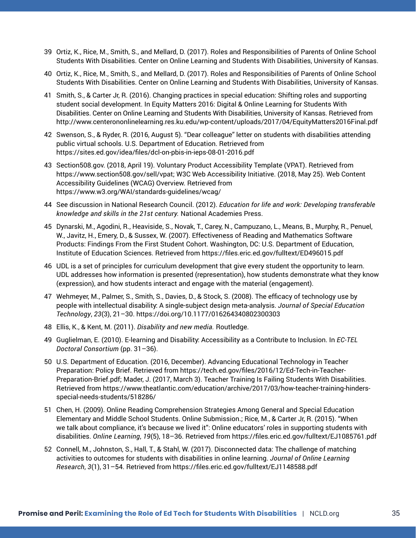- 39 Ortiz, K., Rice, M., Smith, S., and Mellard, D. (2017). Roles and Responsibilities of Parents of Online School Students With Disabilities. Center on Online Learning and Students With Disabilities, University of Kansas.
- 40 Ortiz, K., Rice, M., Smith, S., and Mellard, D. (2017). Roles and Responsibilities of Parents of Online School Students With Disabilities. Center on Online Learning and Students With Disabilities, University of Kansas.
- 41 Smith, S., & Carter Jr, R. (2016). Changing practices in special education: Shifting roles and supporting student social development. In Equity Matters 2016: Digital & Online Learning for Students With Disabilities. Center on Online Learning and Students With Disabilities, University of Kansas. Retrieved from http://www.centerononlinelearning.res.ku.edu/wp-content/uploads/2017/04/EquityMatters2016Final.pdf
- 42 Swenson, S., & Ryder, R. (2016, August 5). "Dear colleague" letter on students with disabilities attending public virtual schools. U.S. Department of Education. Retrieved from https://sites.ed.gov/idea/files/dcl-on-pbis-in-ieps-08-01-2016.pdf
- 43 Section508.gov. (2018, April 19). Voluntary Product Accessibility Template (VPAT). Retrieved from https://www.section508.gov/sell/vpat; W3C Web Accessibility Initiative. (2018, May 25). Web Content Accessibility Guidelines (WCAG) Overview. Retrieved from https://www.w3.org/WAI/standards-guidelines/wcag/
- 44 See discussion in National Research Council. (2012). *Education for life and work: Developing transferable knowledge and skills in the 21st century.* National Academies Press.
- 45 Dynarski, M., Agodini, R., Heaviside, S., Novak, T., Carey, N., Campuzano, L., Means, B., Murphy, R., Penuel, W., Javitz, H., Emery, D., & Sussex, W. (2007). Effectiveness of Reading and Mathematics Software Products: Findings From the First Student Cohort. Washington, DC: U.S. Department of Education, Institute of Education Sciences. Retrieved from https://files.eric.ed.gov/fulltext/ED496015.pdf
- 46 UDL is a set of principles for curriculum development that give every student the opportunity to learn. UDL addresses how information is presented (representation), how students demonstrate what they know (expression), and how students interact and engage with the material (engagement).
- 47 Wehmeyer, M., Palmer, S., Smith, S., Davies, D., & Stock, S. (2008). The efficacy of technology use by people with intellectual disability: A single-subject design meta-analysis. *Journal of Special Education Technology*, *23*(3), 21–30. https://doi.org/10.1177/016264340802300303
- 48 Ellis, K., & Kent, M. (2011). *Disability and new media.* Routledge.
- 49 Guglielman, E. (2010). E-learning and Disability: Accessibility as a Contribute to Inclusion. In *EC-TEL Doctoral Consortium* (pp. 31–36).
- 50 U.S. Department of Education. (2016, December). Advancing Educational Technology in Teacher Preparation: Policy Brief. Retrieved from https://tech.ed.gov/files/2016/12/Ed-Tech-in-Teacher-Preparation-Brief.pdf; Mader, J. (2017, March 3). Teacher Training Is Failing Students With Disabilities. Retrieved from https://www.theatlantic.com/education/archive/2017/03/how-teacher-training-hindersspecial-needs-students/518286/
- 51 Chen, H. (2009). Online Reading Comprehension Strategies Among General and Special Education Elementary and Middle School Students. Online Submission.; Rice, M., & Carter Jr, R. (2015). "When we talk about compliance, it's because we lived it": Online educators' roles in supporting students with disabilities. *Online Learning*, *19*(5), 18–36. Retrieved from https://files.eric.ed.gov/fulltext/EJ1085761.pdf
- 52 Connell, M., Johnston, S., Hall, T., & Stahl, W. (2017). Disconnected data: The challenge of matching activities to outcomes for students with disabilities in online learning. *Journal of Online Learning Research*, *3*(1), 31–54. Retrieved from https://files.eric.ed.gov/fulltext/EJ1148588.pdf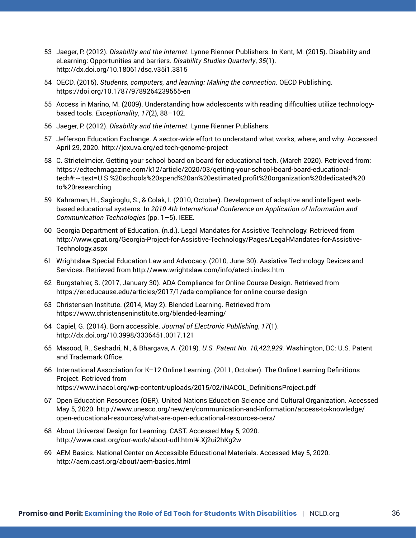- 53 Jaeger, P. (2012). *Disability and the internet.* Lynne Rienner Publishers. In Kent, M. (2015). Disability and eLearning: Opportunities and barriers. *Disability Studies Quarterly*, *35*(1). http://dx.doi.org/10.18061/dsq.v35i1.3815
- 54 OECD. (2015). *Students, computers, and learning: Making the connection.* OECD Publishing. https://doi.org/10.1787/9789264239555-en
- 55 Access in Marino, M. (2009). Understanding how adolescents with reading difficulties utilize technologybased tools. *Exceptionality*, *17*(2), 88–102.
- 56 Jaeger, P. (2012). *Disability and the internet.* Lynne Rienner Publishers.
- 57 Jefferson Education Exchange. A sector-wide effort to understand what works, where, and why. Accessed April 29, 2020. http://jexuva.org/ed tech-genome-project
- 58 C. Strietelmeier. Getting your school board on board for educational tech. (March 2020). Retrieved from: https://edtechmagazine.com/k12/article/2020/03/getting-your-school-board-board-educationaltech#:~:text=U.S.%20schools%20spend%20an%20estimated,profit%20organization%20dedicated%20 to%20researching
- 59 Kahraman, H., Sagiroglu, S., & Colak, I. (2010, October). Development of adaptive and intelligent webbased educational systems. In *2010 4th International Conference on Application of Information and Communication Technologies* (pp. 1–5). IEEE.
- 60 Georgia Department of Education. (n.d.). Legal Mandates for Assistive Technology. Retrieved from http://www.gpat.org/Georgia-Project-for-Assistive-Technology/Pages/Legal-Mandates-for-Assistive-Technology.aspx
- 61 Wrightslaw Special Education Law and Advocacy. (2010, June 30). Assistive Technology Devices and Services. Retrieved from http://www.wrightslaw.com/info/atech.index.htm
- 62 Burgstahler, S. (2017, January 30). ADA Compliance for Online Course Design. Retrieved from https://er.educause.edu/articles/2017/1/ada-compliance-for-online-course-design
- 63 Christensen Institute. (2014, May 2). Blended Learning. Retrieved from https://www.christenseninstitute.org/blended-learning/
- 64 Capiel, G. (2014). Born accessible. *Journal of Electronic Publishing*, *17*(1). http://dx.doi.org/10.3998/3336451.0017.121
- 65 Masood, R., Seshadri, N., & Bhargava, A. (2019). *U.S. Patent No. 10,423,929.* Washington, DC: U.S. Patent and Trademark Office.
- 66 International Association for K–12 Online Learning. (2011, October). The Online Learning Definitions Project. Retrieved from https://www.inacol.org/wp-content/uploads/2015/02/iNACOL\_DefinitionsProject.pdf
- 67 Open Education Resources (OER). United Nations Education Science and Cultural Organization. Accessed May 5, 2020. http://www.unesco.org/new/en/communication-and-information/access-to-knowledge/ open-educational-resources/what-are-open-educational-resources-oers/
- 68 About Universal Design for Learning. CAST. Accessed May 5, 2020. http://www.cast.org/our-work/about-udl.html#.Xj2ui2hKg2w
- 69 AEM Basics. National Center on Accessible Educational Materials. Accessed May 5, 2020. http://aem.cast.org/about/aem-basics.html